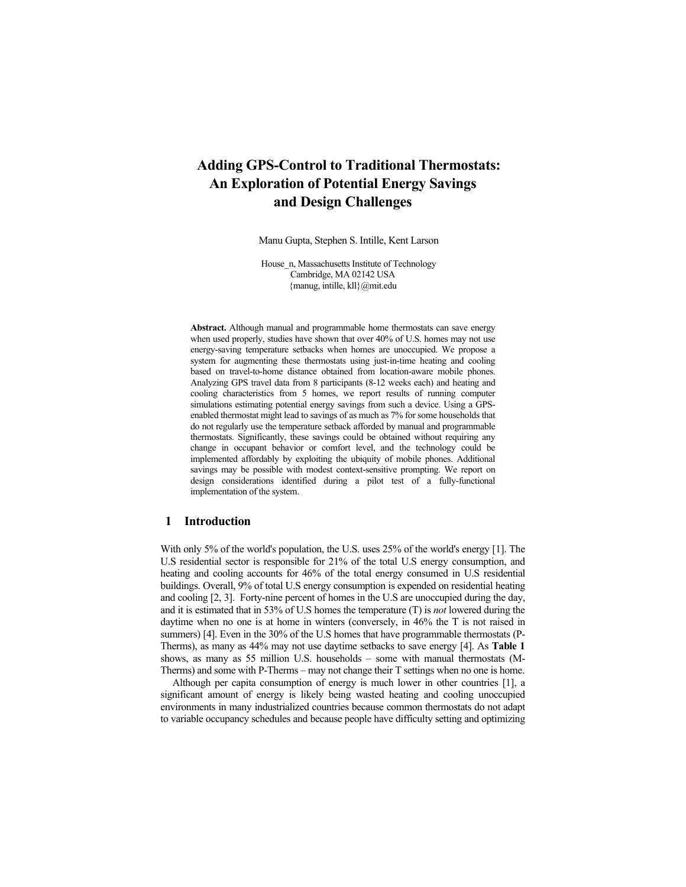# **Adding GPS-Control to Traditional Thermostats: An Exploration of Potential Energy Savings and Design Challenges**

Manu Gupta, Stephen S. Intille, Kent Larson

House\_n, Massachusetts Institute of Technology Cambridge, MA 02142 USA {manug, intille, kll}@mit.edu

**Abstract.** Although manual and programmable home thermostats can save energy when used properly, studies have shown that over 40% of U.S. homes may not use energy-saving temperature setbacks when homes are unoccupied. We propose a system for augmenting these thermostats using just-in-time heating and cooling based on travel-to-home distance obtained from location-aware mobile phones. Analyzing GPS travel data from 8 participants (8-12 weeks each) and heating and cooling characteristics from 5 homes, we report results of running computer simulations estimating potential energy savings from such a device. Using a GPSenabled thermostat might lead to savings of as much as 7% for some households that do not regularly use the temperature setback afforded by manual and programmable thermostats. Significantly, these savings could be obtained without requiring any change in occupant behavior or comfort level, and the technology could be implemented affordably by exploiting the ubiquity of mobile phones. Additional savings may be possible with modest context-sensitive prompting. We report on design considerations identified during a pilot test of a fully-functional implementation of the system.

### **1 Introduction**

With only 5% of the world's population, the U.S. uses 25% of the world's energy [1]. The U.S residential sector is responsible for 21% of the total U.S energy consumption, and heating and cooling accounts for 46% of the total energy consumed in U.S residential buildings. Overall, 9% of total U.S energy consumption is expended on residential heating and cooling [2, 3]. Forty-nine percent of homes in the U.S are unoccupied during the day, and it is estimated that in 53% of U.S homes the temperature (T) is *not* lowered during the daytime when no one is at home in winters (conversely, in 46% the T is not raised in summers) [4]. Even in the 30% of the U.S homes that have programmable thermostats (P-Therms), as many as 44% may not use daytime setbacks to save energy [4]. As **Table 1** shows, as many as 55 million U.S. households – some with manual thermostats (M-Therms) and some with P-Therms – may not change their T settings when no one is home.

Although per capita consumption of energy is much lower in other countries [1], a significant amount of energy is likely being wasted heating and cooling unoccupied environments in many industrialized countries because common thermostats do not adapt to variable occupancy schedules and because people have difficulty setting and optimizing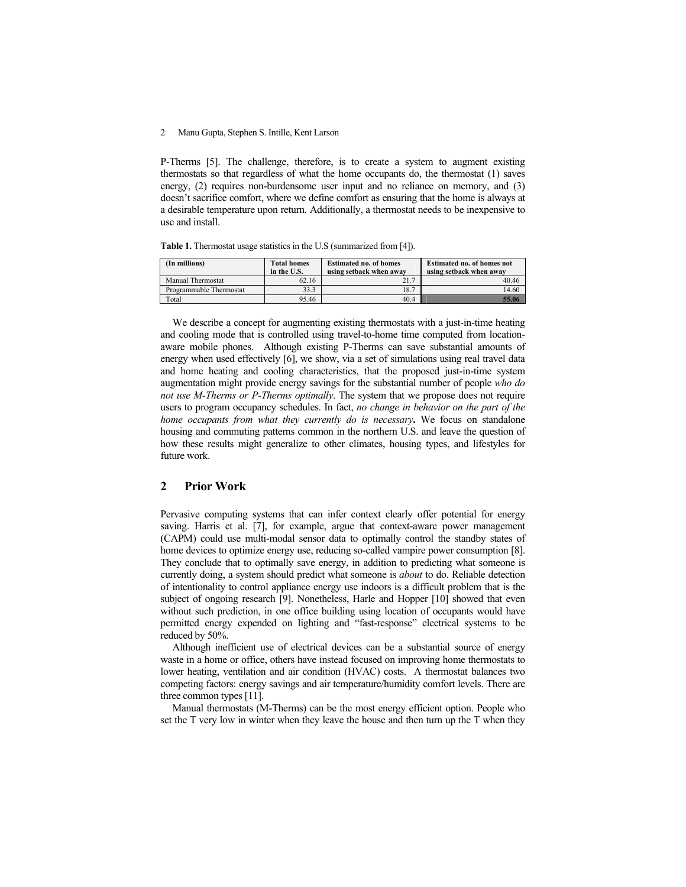P-Therms [5]. The challenge, therefore, is to create a system to augment existing thermostats so that regardless of what the home occupants do, the thermostat (1) saves energy, (2) requires non-burdensome user input and no reliance on memory, and (3) doesn't sacrifice comfort, where we define comfort as ensuring that the home is always at a desirable temperature upon return. Additionally, a thermostat needs to be inexpensive to use and install.

**Table 1.** Thermostat usage statistics in the U.S (summarized from [4]).

| (In millions)           | <b>Total homes</b><br>in the U.S. | <b>Estimated no. of homes</b><br>using setback when away | <b>Estimated no. of homes not</b><br>using setback when away |
|-------------------------|-----------------------------------|----------------------------------------------------------|--------------------------------------------------------------|
| Manual Thermostat       | 62.16                             | 21.7                                                     | 40.46                                                        |
| Programmable Thermostat | 33.3                              | 18.7                                                     | 14.60                                                        |
| Total                   | 95.46                             | 40.4                                                     | 55.06                                                        |

We describe a concept for augmenting existing thermostats with a just-in-time heating and cooling mode that is controlled using travel-to-home time computed from locationaware mobile phones. Although existing P-Therms can save substantial amounts of energy when used effectively [6], we show, via a set of simulations using real travel data and home heating and cooling characteristics, that the proposed just-in-time system augmentation might provide energy savings for the substantial number of people *who do not use M-Therms or P-Therms optimally*. The system that we propose does not require users to program occupancy schedules. In fact, *no change in behavior on the part of the home occupants from what they currently do is necessary***.** We focus on standalone housing and commuting patterns common in the northern U.S. and leave the question of how these results might generalize to other climates, housing types, and lifestyles for future work.

# **2 Prior Work**

Pervasive computing systems that can infer context clearly offer potential for energy saving. Harris et al. [7], for example, argue that context-aware power management (CAPM) could use multi-modal sensor data to optimally control the standby states of home devices to optimize energy use, reducing so-called vampire power consumption [8]. They conclude that to optimally save energy, in addition to predicting what someone is currently doing, a system should predict what someone is *about* to do. Reliable detection of intentionality to control appliance energy use indoors is a difficult problem that is the subject of ongoing research [9]. Nonetheless, Harle and Hopper [10] showed that even without such prediction, in one office building using location of occupants would have permitted energy expended on lighting and "fast-response" electrical systems to be reduced by 50%.

Although inefficient use of electrical devices can be a substantial source of energy waste in a home or office, others have instead focused on improving home thermostats to lower heating, ventilation and air condition (HVAC) costs. A thermostat balances two competing factors: energy savings and air temperature/humidity comfort levels. There are three common types [11].

Manual thermostats (M-Therms) can be the most energy efficient option. People who set the T very low in winter when they leave the house and then turn up the T when they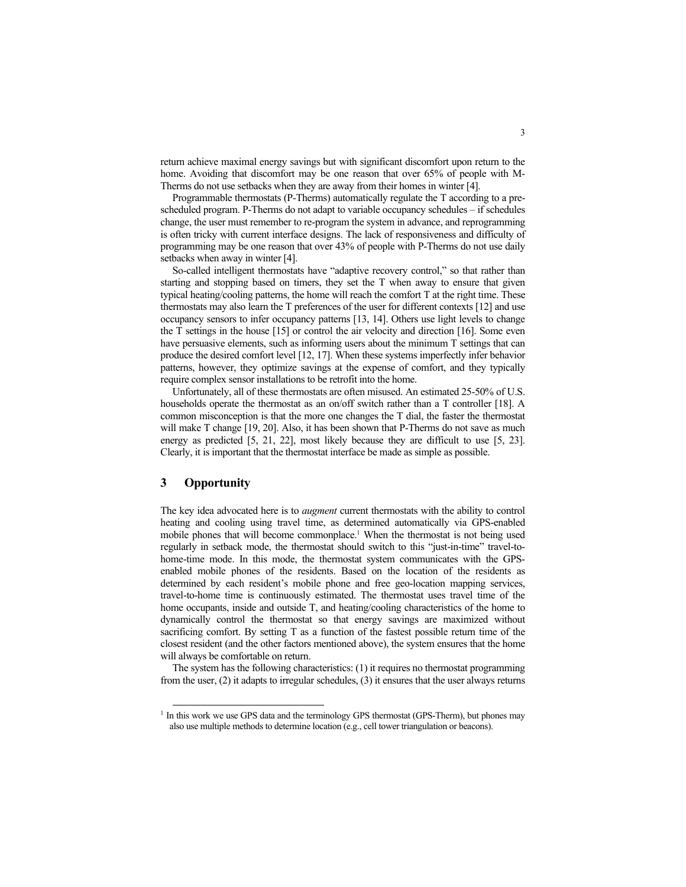return achieve maximal energy savings but with significant discomfort upon return to the home. Avoiding that discomfort may be one reason that over 65% of people with M-Therms do not use setbacks when they are away from their homes in winter [4].

Programmable thermostats (P-Therms) automatically regulate the T according to a prescheduled program. P-Therms do not adapt to variable occupancy schedules – if schedules change, the user must remember to re-program the system in advance, and reprogramming is often tricky with current interface designs. The lack of responsiveness and difficulty of programming may be one reason that over 43% of people with P-Therms do not use daily setbacks when away in winter [4].

So-called intelligent thermostats have "adaptive recovery control," so that rather than starting and stopping based on timers, they set the T when away to ensure that given typical heating/cooling patterns, the home will reach the comfort T at the right time. These thermostats may also learn the T preferences of the user for different contexts [12] and use occupancy sensors to infer occupancy patterns [13, 14]. Others use light levels to change the T settings in the house [15] or control the air velocity and direction [16]. Some even have persuasive elements, such as informing users about the minimum T settings that can produce the desired comfort level [12, 17]. When these systems imperfectly infer behavior patterns, however, they optimize savings at the expense of comfort, and they typically require complex sensor installations to be retrofit into the home.

Unfortunately, all of these thermostats are often misused. An estimated 25-50% of U.S. households operate the thermostat as an on/off switch rather than a T controller [18]. A common misconception is that the more one changes the T dial, the faster the thermostat will make T change [19, 20]. Also, it has been shown that P-Therms do not save as much energy as predicted [5, 21, 22], most likely because they are difficult to use [5, 23]. Clearly, it is important that the thermostat interface be made as simple as possible.

## **3 Opportunity**

The key idea advocated here is to *augment* current thermostats with the ability to control heating and cooling using travel time, as determined automatically via GPS-enabled mobile phones that will become commonplace.<sup>1</sup> When the thermostat is not being used regularly in setback mode, the thermostat should switch to this "just-in-time" travel-tohome-time mode. In this mode, the thermostat system communicates with the GPSenabled mobile phones of the residents. Based on the location of the residents as determined by each resident's mobile phone and free geo-location mapping services, travel-to-home time is continuously estimated. The thermostat uses travel time of the home occupants, inside and outside T, and heating/cooling characteristics of the home to dynamically control the thermostat so that energy savings are maximized without sacrificing comfort. By setting T as a function of the fastest possible return time of the closest resident (and the other factors mentioned above), the system ensures that the home will always be comfortable on return.

The system has the following characteristics: (1) it requires no thermostat programming from the user, (2) it adapts to irregular schedules, (3) it ensures that the user always returns

<sup>&</sup>lt;sup>1</sup> In this work we use GPS data and the terminology GPS thermostat (GPS-Therm), but phones may also use multiple methods to determine location (e.g., cell tower triangulation or beacons).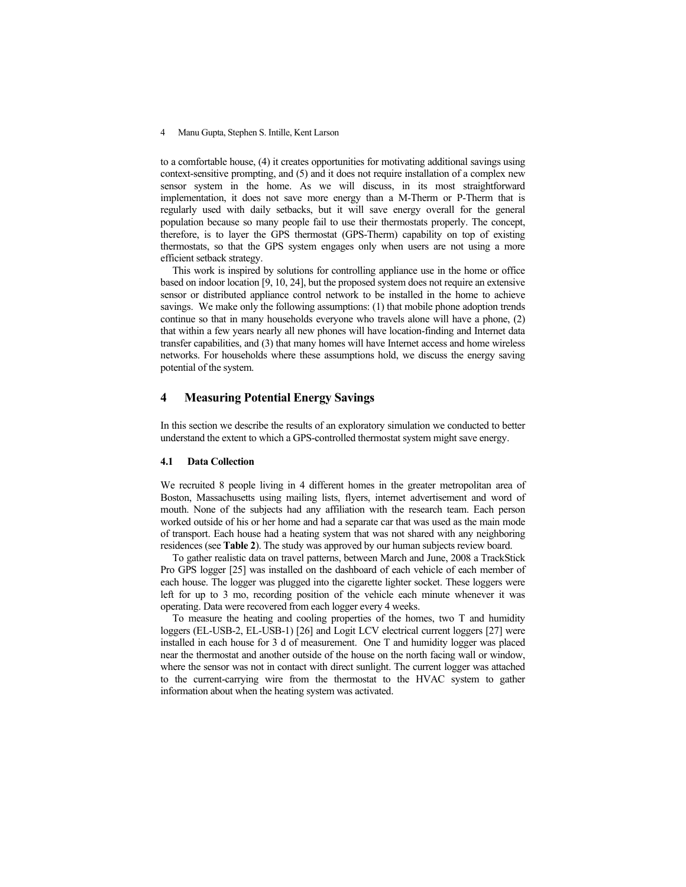to a comfortable house, (4) it creates opportunities for motivating additional savings using context-sensitive prompting, and (5) and it does not require installation of a complex new sensor system in the home. As we will discuss, in its most straightforward implementation, it does not save more energy than a M-Therm or P-Therm that is regularly used with daily setbacks, but it will save energy overall for the general population because so many people fail to use their thermostats properly. The concept, therefore, is to layer the GPS thermostat (GPS-Therm) capability on top of existing thermostats, so that the GPS system engages only when users are not using a more efficient setback strategy.

This work is inspired by solutions for controlling appliance use in the home or office based on indoor location [9, 10, 24], but the proposed system does not require an extensive sensor or distributed appliance control network to be installed in the home to achieve savings. We make only the following assumptions: (1) that mobile phone adoption trends continue so that in many households everyone who travels alone will have a phone, (2) that within a few years nearly all new phones will have location-finding and Internet data transfer capabilities, and (3) that many homes will have Internet access and home wireless networks. For households where these assumptions hold, we discuss the energy saving potential of the system.

### **4 Measuring Potential Energy Savings**

In this section we describe the results of an exploratory simulation we conducted to better understand the extent to which a GPS-controlled thermostat system might save energy.

### **4.1 Data Collection**

We recruited 8 people living in 4 different homes in the greater metropolitan area of Boston, Massachusetts using mailing lists, flyers, internet advertisement and word of mouth. None of the subjects had any affiliation with the research team. Each person worked outside of his or her home and had a separate car that was used as the main mode of transport. Each house had a heating system that was not shared with any neighboring residences (see **Table 2**). The study was approved by our human subjects review board.

To gather realistic data on travel patterns, between March and June, 2008 a TrackStick Pro GPS logger [25] was installed on the dashboard of each vehicle of each member of each house. The logger was plugged into the cigarette lighter socket. These loggers were left for up to 3 mo, recording position of the vehicle each minute whenever it was operating. Data were recovered from each logger every 4 weeks.

To measure the heating and cooling properties of the homes, two T and humidity loggers (EL-USB-2, EL-USB-1) [26] and Logit LCV electrical current loggers [27] were installed in each house for 3 d of measurement. One T and humidity logger was placed near the thermostat and another outside of the house on the north facing wall or window, where the sensor was not in contact with direct sunlight. The current logger was attached to the current-carrying wire from the thermostat to the HVAC system to gather information about when the heating system was activated.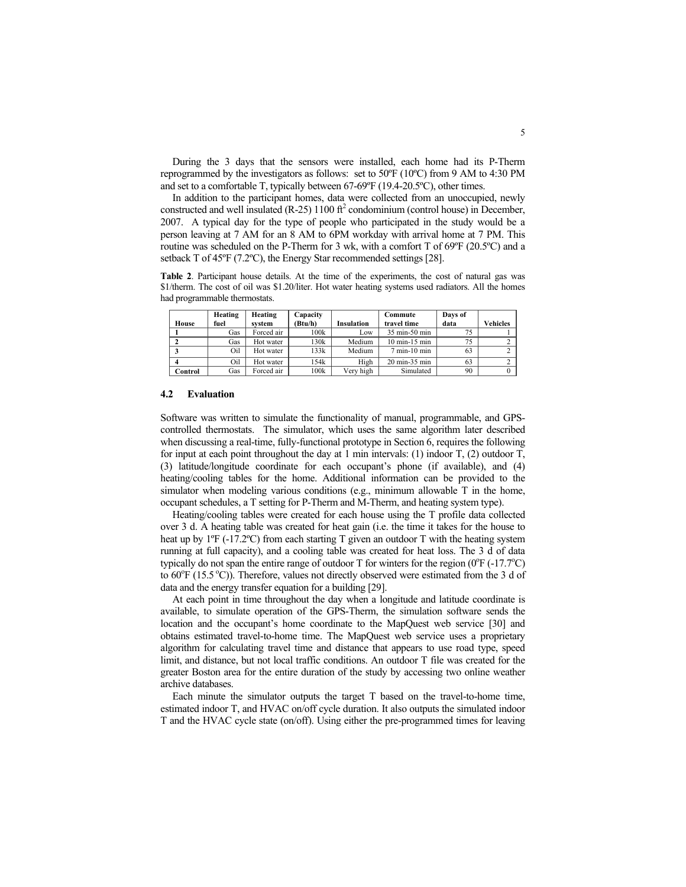During the 3 days that the sensors were installed, each home had its P-Therm reprogrammed by the investigators as follows: set to 50ºF (10ºC) from 9 AM to 4:30 PM and set to a comfortable T, typically between 67-69ºF (19.4-20.5ºC), other times.

In addition to the participant homes, data were collected from an unoccupied, newly constructed and well insulated (R-25)  $1100 \text{ ft}^2$  condominium (control house) in December, 2007. A typical day for the type of people who participated in the study would be a person leaving at 7 AM for an 8 AM to 6PM workday with arrival home at 7 PM. This routine was scheduled on the P-Therm for 3 wk, with a comfort T of 69ºF (20.5ºC) and a setback T of 45ºF (7.2ºC), the Energy Star recommended settings [28].

**Table 2**. Participant house details. At the time of the experiments, the cost of natural gas was \$1/therm. The cost of oil was \$1.20/liter. Hot water heating systems used radiators. All the homes had programmable thermostats.

| House   | Heating<br>fuel | Heating<br>system | Capacity<br>(Btu/h) | Insulation | Commute<br>travel time           | Days of<br>data | Vehicles     |
|---------|-----------------|-------------------|---------------------|------------|----------------------------------|-----------------|--------------|
|         | Gas             | Forced air        | 100k                | Low        | 35 min-50 min                    | 75              |              |
|         | Gas             | Hot water         | 130k                | Medium     | $10 \text{ min-}15 \text{ min}$  | 75              | 2            |
|         | Oil             | Hot water         | 133k                | Medium     | $7 \text{ min} - 10 \text{ min}$ | 63              | C            |
|         | Oil             | Hot water         | 154k                | High       | $20 \text{ min-}35 \text{ min}$  | 63              | C<br>∠       |
| Control | Gas             | Forced air        | 100k                | Very high  | Simulated                        | 90              | $\mathbf{0}$ |

### **4.2 Evaluation**

Software was written to simulate the functionality of manual, programmable, and GPScontrolled thermostats. The simulator, which uses the same algorithm later described when discussing a real-time, fully-functional prototype in Section 6, requires the following for input at each point throughout the day at 1 min intervals: (1) indoor T, (2) outdoor T, (3) latitude/longitude coordinate for each occupant's phone (if available), and (4) heating/cooling tables for the home. Additional information can be provided to the simulator when modeling various conditions (e.g., minimum allowable T in the home, occupant schedules, a T setting for P-Therm and M-Therm, and heating system type).

Heating/cooling tables were created for each house using the T profile data collected over 3 d. A heating table was created for heat gain (i.e. the time it takes for the house to heat up by 1°F (-17.2°C) from each starting T given an outdoor T with the heating system running at full capacity), and a cooling table was created for heat loss. The 3 d of data typically do not span the entire range of outdoor T for winters for the region  $(0^{\circ}$ F (-17.7°C) to  $60^{\circ}$ F (15.5  $^{\circ}$ C)). Therefore, values not directly observed were estimated from the 3 d of data and the energy transfer equation for a building [29].

At each point in time throughout the day when a longitude and latitude coordinate is available, to simulate operation of the GPS-Therm, the simulation software sends the location and the occupant's home coordinate to the MapQuest web service [30] and obtains estimated travel-to-home time. The MapQuest web service uses a proprietary algorithm for calculating travel time and distance that appears to use road type, speed limit, and distance, but not local traffic conditions. An outdoor T file was created for the greater Boston area for the entire duration of the study by accessing two online weather archive databases.

Each minute the simulator outputs the target T based on the travel-to-home time, estimated indoor T, and HVAC on/off cycle duration. It also outputs the simulated indoor T and the HVAC cycle state (on/off). Using either the pre-programmed times for leaving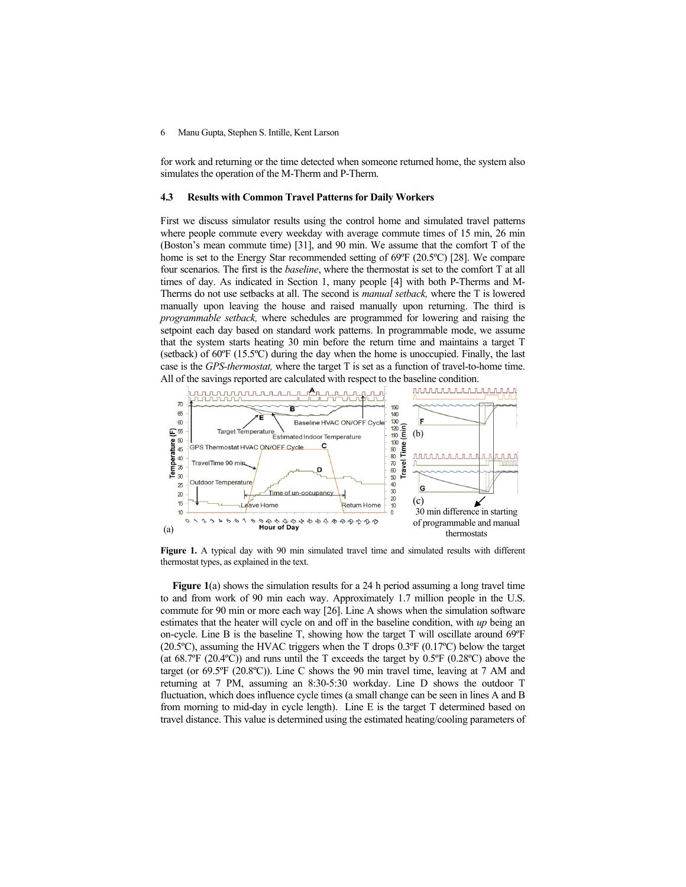for work and returning or the time detected when someone returned home, the system also simulates the operation of the M-Therm and P-Therm.

#### **4.3 Results with Common Travel Patterns for Daily Workers**

First we discuss simulator results using the control home and simulated travel patterns where people commute every weekday with average commute times of 15 min, 26 min (Boston's mean commute time) [31], and 90 min. We assume that the comfort T of the home is set to the Energy Star recommended setting of 69ºF (20.5ºC) [28]. We compare four scenarios. The first is the *baseline*, where the thermostat is set to the comfort T at all times of day. As indicated in Section 1, many people [4] with both P-Therms and M-Therms do not use setbacks at all. The second is *manual setback,* where the T is lowered manually upon leaving the house and raised manually upon returning. The third is *programmable setback,* where schedules are programmed for lowering and raising the setpoint each day based on standard work patterns. In programmable mode, we assume that the system starts heating 30 min before the return time and maintains a target T (setback) of 60ºF (15.5ºC) during the day when the home is unoccupied. Finally, the last case is the *GPS-thermostat,* where the target T is set as a function of travel-to-home time. All of the savings reported are calculated with respect to the baseline condition.



**Figure 1.** A typical day with 90 min simulated travel time and simulated results with different thermostat types, as explained in the text.

**Figure 1**(a) shows the simulation results for a 24 h period assuming a long travel time to and from work of 90 min each way. Approximately 1.7 million people in the U.S. commute for 90 min or more each way [26]. Line A shows when the simulation software estimates that the heater will cycle on and off in the baseline condition, with *up* being an on-cycle. Line B is the baseline T, showing how the target T will oscillate around 69ºF (20.5 $^{\circ}$ C), assuming the HVAC triggers when the T drops 0.3 $^{\circ}$ F (0.17 $^{\circ}$ C) below the target (at 68.7 $\text{F}$  (20.4 $\text{°C}$ )) and runs until the T exceeds the target by 0.5 $\text{°F}$  (0.28 $\text{°C}$ ) above the target (or  $69.5^{\circ}$ F (20.8 $^{\circ}$ C)). Line C shows the 90 min travel time, leaving at 7 AM and returning at 7 PM, assuming an 8:30-5:30 workday. Line D shows the outdoor T fluctuation, which does influence cycle times (a small change can be seen in lines A and B from morning to mid-day in cycle length). Line E is the target T determined based on travel distance. This value is determined using the estimated heating/cooling parameters of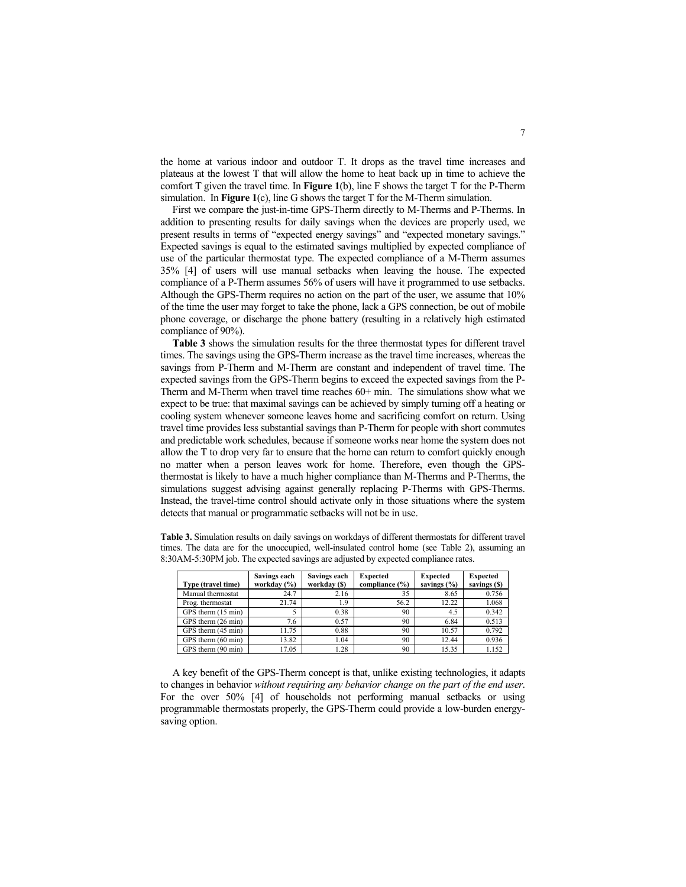the home at various indoor and outdoor T. It drops as the travel time increases and plateaus at the lowest T that will allow the home to heat back up in time to achieve the comfort T given the travel time. In **Figure 1**(b), line F shows the target T for the P-Therm simulation. In **Figure 1**(c), line G shows the target T for the M-Therm simulation.

First we compare the just-in-time GPS-Therm directly to M-Therms and P-Therms. In addition to presenting results for daily savings when the devices are properly used, we present results in terms of "expected energy savings" and "expected monetary savings." Expected savings is equal to the estimated savings multiplied by expected compliance of use of the particular thermostat type. The expected compliance of a M-Therm assumes 35% [4] of users will use manual setbacks when leaving the house. The expected compliance of a P-Therm assumes 56% of users will have it programmed to use setbacks. Although the GPS-Therm requires no action on the part of the user, we assume that 10% of the time the user may forget to take the phone, lack a GPS connection, be out of mobile phone coverage, or discharge the phone battery (resulting in a relatively high estimated compliance of 90%).

**Table 3** shows the simulation results for the three thermostat types for different travel times. The savings using the GPS-Therm increase as the travel time increases, whereas the savings from P-Therm and M-Therm are constant and independent of travel time. The expected savings from the GPS-Therm begins to exceed the expected savings from the P-Therm and M-Therm when travel time reaches 60+ min. The simulations show what we expect to be true: that maximal savings can be achieved by simply turning off a heating or cooling system whenever someone leaves home and sacrificing comfort on return. Using travel time provides less substantial savings than P-Therm for people with short commutes and predictable work schedules, because if someone works near home the system does not allow the T to drop very far to ensure that the home can return to comfort quickly enough no matter when a person leaves work for home. Therefore, even though the GPSthermostat is likely to have a much higher compliance than M-Therms and P-Therms, the simulations suggest advising against generally replacing P-Therms with GPS-Therms. Instead, the travel-time control should activate only in those situations where the system detects that manual or programmatic setbacks will not be in use.

**Table 3.** Simulation results on daily savings on workdays of different thermostats for different travel times. The data are for the unoccupied, well-insulated control home (see Table 2), assuming an 8:30AM-5:30PM job. The expected savings are adjusted by expected compliance rates.

| Type (travel time) | Savings each<br>workday (%) | Savings each<br>workday (\$) | <b>Expected</b><br>compliance $(\% )$ | <b>Expected</b><br>savings $(\% )$ | <b>Expected</b><br>savings (\$) |
|--------------------|-----------------------------|------------------------------|---------------------------------------|------------------------------------|---------------------------------|
| Manual thermostat  | 24.7                        | 2.16                         | 35                                    | 8.65                               | 0.756                           |
| Prog. thermostat   | 21.74                       | 1.9                          | 56.2                                  | 12.22                              | 1.068                           |
| GPS therm (15 min) |                             | 0.38                         | 90                                    | 4.5                                | 0.342                           |
| GPS therm (26 min) | 7.6                         | 0.57                         | 90                                    | 6.84                               | 0.513                           |
| GPS therm (45 min) | 11.75                       | 0.88                         | 90                                    | 10.57                              | 0.792                           |
| GPS therm (60 min) | 13.82                       | 1.04                         | 90                                    | 12.44                              | 0.936                           |
| GPS therm (90 min) | 17.05                       | 1.28                         | 90                                    | 15.35                              | 1.152                           |

A key benefit of the GPS-Therm concept is that, unlike existing technologies, it adapts to changes in behavior *without requiring any behavior change on the part of the end user*. For the over 50% [4] of households not performing manual setbacks or using programmable thermostats properly, the GPS-Therm could provide a low-burden energysaving option.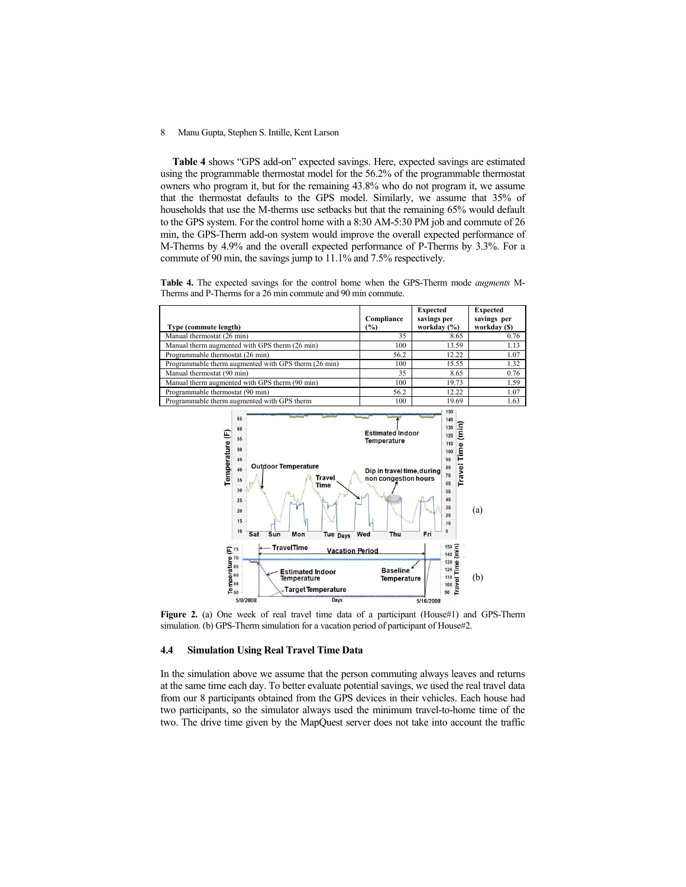**Table 4** shows "GPS add-on" expected savings. Here, expected savings are estimated using the programmable thermostat model for the 56.2% of the programmable thermostat owners who program it, but for the remaining 43.8% who do not program it, we assume that the thermostat defaults to the GPS model. Similarly, we assume that 35% of households that use the M-therms use setbacks but that the remaining 65% would default to the GPS system. For the control home with a 8:30 AM-5:30 PM job and commute of 26 min, the GPS-Therm add-on system would improve the overall expected performance of M-Therms by 4.9% and the overall expected performance of P-Therms by 3.3%. For a commute of 90 min, the savings jump to 11.1% and 7.5% respectively.

**Table 4.** The expected savings for the control home when the GPS-Therm mode *augments* M-Therms and P-Therms for a 26 min commute and 90 min commute.

| Type (commute length)                                | Compliance<br>(%) | <b>Expected</b><br>savings per<br>workday (%) | <b>Expected</b><br>savings per<br>workday (\$) |
|------------------------------------------------------|-------------------|-----------------------------------------------|------------------------------------------------|
| Manual thermostat (26 min)                           | 35                | 8.65                                          | 0.76                                           |
|                                                      |                   |                                               |                                                |
| Manual therm augmented with GPS therm (26 min)       | 100               | 13.59                                         | 1.13                                           |
| Programmable thermostat (26 min)                     | 56.2              | 12.22                                         | 1.07                                           |
| Programmable therm augmented with GPS therm (26 min) | 100               | 15.55                                         | 1.32                                           |
| Manual thermostat (90 min)                           | 35                | 8.65                                          | 0.76                                           |
| Manual therm augmented with GPS therm (90 min)       | 100               | 19.73                                         | 1.59                                           |
| Programmable thermostat (90 min)                     | 56.2              | 12.22                                         | 1.07                                           |
| Programmable therm augmented with GPS therm          | 100               | 19.69                                         | 1.63                                           |
| 65                                                   |                   | 150<br>140                                    |                                                |



**Figure 2.** (a) One week of real travel time data of a participant (House#1) and GPS-Therm simulation. (b) GPS-Therm simulation for a vacation period of participant of House#2.

#### **4.4 Simulation Using Real Travel Time Data**

In the simulation above we assume that the person commuting always leaves and returns at the same time each day. To better evaluate potential savings, we used the real travel data from our 8 participants obtained from the GPS devices in their vehicles. Each house had two participants, so the simulator always used the minimum travel-to-home time of the two. The drive time given by the MapQuest server does not take into account the traffic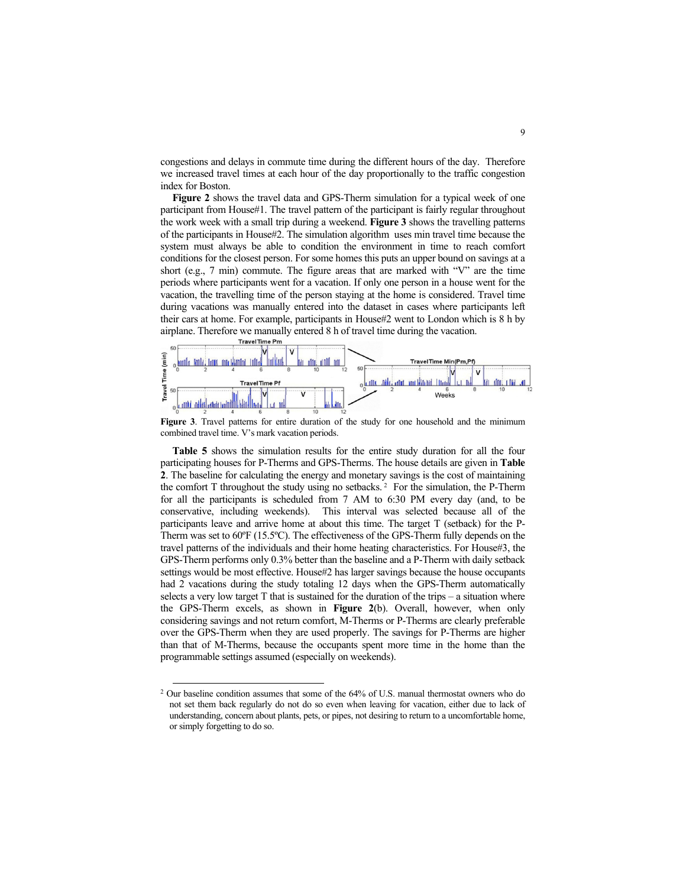congestions and delays in commute time during the different hours of the day. Therefore we increased travel times at each hour of the day proportionally to the traffic congestion index for Boston.

**Figure 2** shows the travel data and GPS-Therm simulation for a typical week of one participant from House#1. The travel pattern of the participant is fairly regular throughout the work week with a small trip during a weekend. **Figure 3** shows the travelling patterns of the participants in House#2. The simulation algorithm uses min travel time because the system must always be able to condition the environment in time to reach comfort conditions for the closest person. For some homes this puts an upper bound on savings at a short (e.g., 7 min) commute. The figure areas that are marked with "V" are the time periods where participants went for a vacation. If only one person in a house went for the vacation, the travelling time of the person staying at the home is considered. Travel time during vacations was manually entered into the dataset in cases where participants left their cars at home. For example, participants in House#2 went to London which is 8 h by airplane. Therefore we manually entered 8 h of travel time during the vacation.



**Figure 3**. Travel patterns for entire duration of the study for one household and the minimum combined travel time. V's mark vacation periods.

**Table 5** shows the simulation results for the entire study duration for all the four participating houses for P-Therms and GPS-Therms. The house details are given in **Table 2**. The baseline for calculating the energy and monetary savings is the cost of maintaining the comfort T throughout the study using no setbacks. 2 For the simulation, the P-Therm for all the participants is scheduled from 7 AM to 6:30 PM every day (and, to be conservative, including weekends). This interval was selected because all of the participants leave and arrive home at about this time. The target T (setback) for the P-Therm was set to 60ºF (15.5ºC). The effectiveness of the GPS-Therm fully depends on the travel patterns of the individuals and their home heating characteristics. For House#3, the GPS-Therm performs only 0.3% better than the baseline and a P-Therm with daily setback settings would be most effective. House#2 has larger savings because the house occupants had 2 vacations during the study totaling 12 days when the GPS-Therm automatically selects a very low target  $T$  that is sustained for the duration of the trips – a situation where the GPS-Therm excels, as shown in **Figure 2**(b). Overall, however, when only considering savings and not return comfort, M-Therms or P-Therms are clearly preferable over the GPS-Therm when they are used properly. The savings for P-Therms are higher than that of M-Therms, because the occupants spent more time in the home than the programmable settings assumed (especially on weekends).

<sup>&</sup>lt;sup>2</sup> Our baseline condition assumes that some of the 64% of U.S. manual thermostat owners who do not set them back regularly do not do so even when leaving for vacation, either due to lack of understanding, concern about plants, pets, or pipes, not desiring to return to a uncomfortable home, or simply forgetting to do so.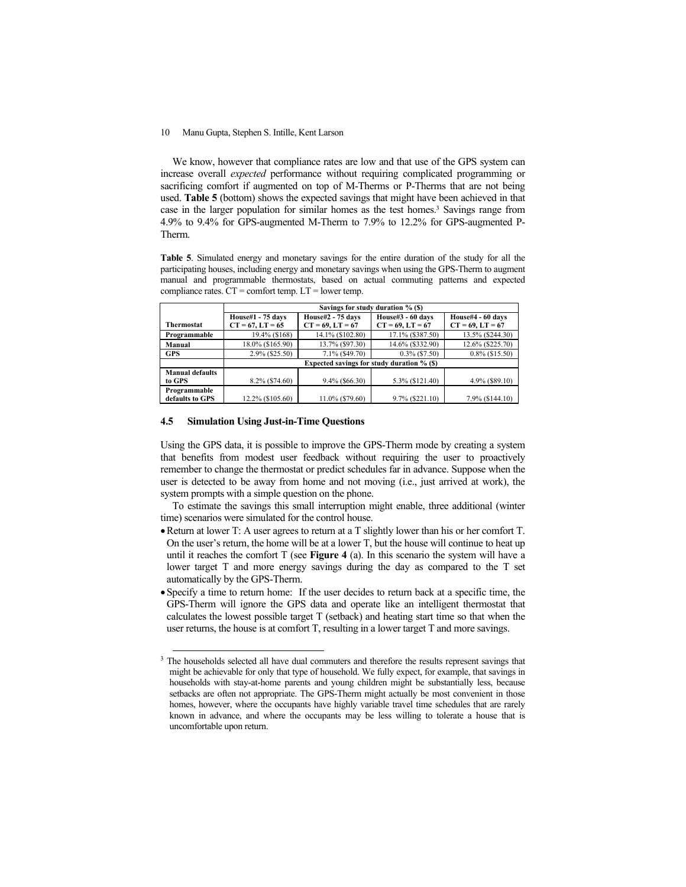We know, however that compliance rates are low and that use of the GPS system can increase overall *expected* performance without requiring complicated programming or sacrificing comfort if augmented on top of M-Therms or P-Therms that are not being used. **Table 5** (bottom) shows the expected savings that might have been achieved in that case in the larger population for similar homes as the test homes.<sup>3</sup> Savings range from 4.9% to 9.4% for GPS-augmented M-Therm to 7.9% to 12.2% for GPS-augmented P-Therm.

**Table 5**. Simulated energy and monetary savings for the entire duration of the study for all the participating houses, including energy and monetary savings when using the GPS-Therm to augment manual and programmable thermostats, based on actual commuting patterns and expected compliance rates. CT = comfort temp. LT = lower temp.

|                        | Savings for study duration % (\$)          |                    |                    |                    |  |  |  |
|------------------------|--------------------------------------------|--------------------|--------------------|--------------------|--|--|--|
|                        | <b>House#1 - 75 days</b>                   | House#2 - 75 days  | House#3 - 60 days  | House#4 - 60 days  |  |  |  |
| Thermostat             | $CT = 67$ , $LT = 65$                      | $CT = 69, LT = 67$ | $CT = 69, LT = 67$ | $CT = 69, LT = 67$ |  |  |  |
| Programmable           | 19.4% (\$168)                              | 14.1% (\$102.80)   | 17.1% (\$387.50)   | 13.5% (\$244.30)   |  |  |  |
| Manual                 | 18.0% (\$165.90)                           | 13.7% (\$97.30)    | 14.6% (\$332.90)   | 12.6% (\$225.70)   |  |  |  |
| <b>GPS</b>             | $2.9\%$ (\$25.50)                          | 7.1% (\$49.70)     | $0.3\%$ (\$7.50)   | $0.8\%$ (\$15.50)  |  |  |  |
|                        | Expected savings for study duration % (\$) |                    |                    |                    |  |  |  |
| <b>Manual defaults</b> |                                            |                    |                    |                    |  |  |  |
| to GPS                 | $8.2\%$ (\$74.60)                          | $9.4\%$ (\$66.30)  | 5.3% (\$121.40)    | 4.9% (\$89.10)     |  |  |  |
| Programmable           |                                            |                    |                    |                    |  |  |  |
| defaults to GPS        | 12.2% (\$105.60)                           | 11.0% (\$79.60)    | $9.7\%$ (\$221.10) | $7.9\%$ (\$144.10) |  |  |  |

#### **4.5 Simulation Using Just-in-Time Questions**

Using the GPS data, it is possible to improve the GPS-Therm mode by creating a system that benefits from modest user feedback without requiring the user to proactively remember to change the thermostat or predict schedules far in advance. Suppose when the user is detected to be away from home and not moving (i.e., just arrived at work), the system prompts with a simple question on the phone.

To estimate the savings this small interruption might enable, three additional (winter time) scenarios were simulated for the control house.

- •Return at lower T: A user agrees to return at a T slightly lower than his or her comfort T. On the user's return, the home will be at a lower T, but the house will continue to heat up until it reaches the comfort T (see **Figure 4** (a). In this scenario the system will have a lower target T and more energy savings during the day as compared to the T set automatically by the GPS-Therm.
- •Specify a time to return home: If the user decides to return back at a specific time, the GPS-Therm will ignore the GPS data and operate like an intelligent thermostat that calculates the lowest possible target T (setback) and heating start time so that when the user returns, the house is at comfort T, resulting in a lower target T and more savings.

<sup>&</sup>lt;sup>3</sup> The households selected all have dual commuters and therefore the results represent savings that might be achievable for only that type of household. We fully expect, for example, that savings in households with stay-at-home parents and young children might be substantially less, because setbacks are often not appropriate. The GPS-Therm might actually be most convenient in those homes, however, where the occupants have highly variable travel time schedules that are rarely known in advance, and where the occupants may be less willing to tolerate a house that is uncomfortable upon return.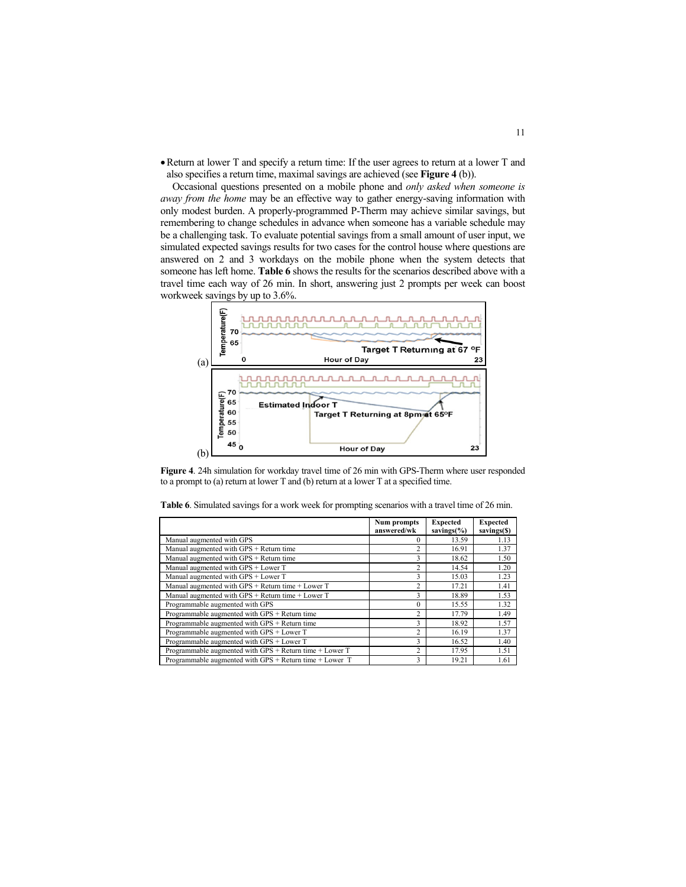•Return at lower T and specify a return time: If the user agrees to return at a lower T and also specifies a return time, maximal savings are achieved (see **Figure 4** (b)).

Occasional questions presented on a mobile phone and *only asked when someone is away from the home* may be an effective way to gather energy-saving information with only modest burden. A properly-programmed P-Therm may achieve similar savings, but remembering to change schedules in advance when someone has a variable schedule may be a challenging task. To evaluate potential savings from a small amount of user input, we simulated expected savings results for two cases for the control house where questions are answered on 2 and 3 workdays on the mobile phone when the system detects that someone has left home. **Table 6** shows the results for the scenarios described above with a travel time each way of 26 min. In short, answering just 2 prompts per week can boost workweek savings by up to 3.6%.



**Figure 4**. 24h simulation for workday travel time of 26 min with GPS-Therm where user responded to a prompt to (a) return at lower T and (b) return at a lower T at a specified time.

|  | Table 6. Simulated savings for a work week for prompting scenarios with a travel time of 26 min. |  |  |
|--|--------------------------------------------------------------------------------------------------|--|--|
|  |                                                                                                  |  |  |

|                                                           | <b>Num</b> prompts<br>answered/wk | <b>Expected</b><br>savings $(\% )$ | <b>Expected</b><br>savings(\$) |
|-----------------------------------------------------------|-----------------------------------|------------------------------------|--------------------------------|
| Manual augmented with GPS                                 | $\Omega$                          | 13.59                              | 1.13                           |
| Manual augmented with GPS + Return time                   | 2                                 | 16.91                              | 1.37                           |
| Manual augmented with GPS + Return time                   | 3                                 | 18.62                              | 1.50                           |
| Manual augmented with GPS + Lower T                       | 2                                 | 14.54                              | 1.20                           |
| Manual augmented with GPS + Lower T                       | 3                                 | 15.03                              | 1.23                           |
| Manual augmented with GPS + Return time + Lower T         | 2                                 | 17.21                              | 1.41                           |
| Manual augmented with GPS + Return time + Lower T         | 3                                 | 18.89                              | 1.53                           |
| Programmable augmented with GPS                           | $\Omega$                          | 15.55                              | 1.32                           |
| Programmable augmented with GPS + Return time             | 2                                 | 17.79                              | 1.49                           |
| Programmable augmented with GPS + Return time             | 3                                 | 18.92                              | 1.57                           |
| Programmable augmented with GPS + Lower T                 | 2                                 | 16.19                              | 1.37                           |
| Programmable augmented with GPS + Lower T                 | 3                                 | 16.52                              | 1.40                           |
| Programmable augmented with GPS + Return time + Lower T   | 2                                 | 17.95                              | 1.51                           |
| Programmable augmented with GPS + Return time + Lower $T$ | 3                                 | 19.21                              | 1.61                           |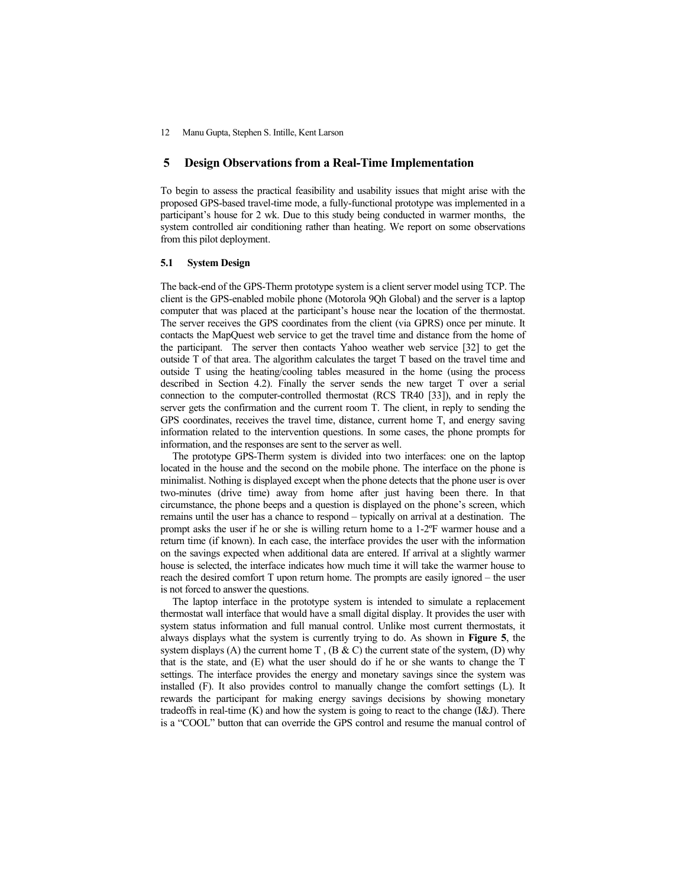### **5 Design Observations from a Real-Time Implementation**

To begin to assess the practical feasibility and usability issues that might arise with the proposed GPS-based travel-time mode, a fully-functional prototype was implemented in a participant's house for 2 wk. Due to this study being conducted in warmer months, the system controlled air conditioning rather than heating. We report on some observations from this pilot deployment.

### **5.1 System Design**

The back-end of the GPS-Therm prototype system is a client server model using TCP. The client is the GPS-enabled mobile phone (Motorola 9Qh Global) and the server is a laptop computer that was placed at the participant's house near the location of the thermostat. The server receives the GPS coordinates from the client (via GPRS) once per minute. It contacts the MapQuest web service to get the travel time and distance from the home of the participant. The server then contacts Yahoo weather web service [32] to get the outside T of that area. The algorithm calculates the target T based on the travel time and outside T using the heating/cooling tables measured in the home (using the process described in Section 4.2). Finally the server sends the new target T over a serial connection to the computer-controlled thermostat (RCS TR40 [33]), and in reply the server gets the confirmation and the current room T. The client, in reply to sending the GPS coordinates, receives the travel time, distance, current home T, and energy saving information related to the intervention questions. In some cases, the phone prompts for information, and the responses are sent to the server as well.

The prototype GPS-Therm system is divided into two interfaces: one on the laptop located in the house and the second on the mobile phone. The interface on the phone is minimalist. Nothing is displayed except when the phone detects that the phone user is over two-minutes (drive time) away from home after just having been there. In that circumstance, the phone beeps and a question is displayed on the phone's screen, which remains until the user has a chance to respond – typically on arrival at a destination. The prompt asks the user if he or she is willing return home to a 1-2ºF warmer house and a return time (if known). In each case, the interface provides the user with the information on the savings expected when additional data are entered. If arrival at a slightly warmer house is selected, the interface indicates how much time it will take the warmer house to reach the desired comfort T upon return home. The prompts are easily ignored – the user is not forced to answer the questions.

The laptop interface in the prototype system is intended to simulate a replacement thermostat wall interface that would have a small digital display. It provides the user with system status information and full manual control. Unlike most current thermostats, it always displays what the system is currently trying to do. As shown in **Figure 5**, the system displays (A) the current home  $T$ , (B & C) the current state of the system, (D) why that is the state, and (E) what the user should do if he or she wants to change the T settings. The interface provides the energy and monetary savings since the system was installed (F). It also provides control to manually change the comfort settings (L). It rewards the participant for making energy savings decisions by showing monetary tradeoffs in real-time  $(K)$  and how the system is going to react to the change  $(I&J)$ . There is a "COOL" button that can override the GPS control and resume the manual control of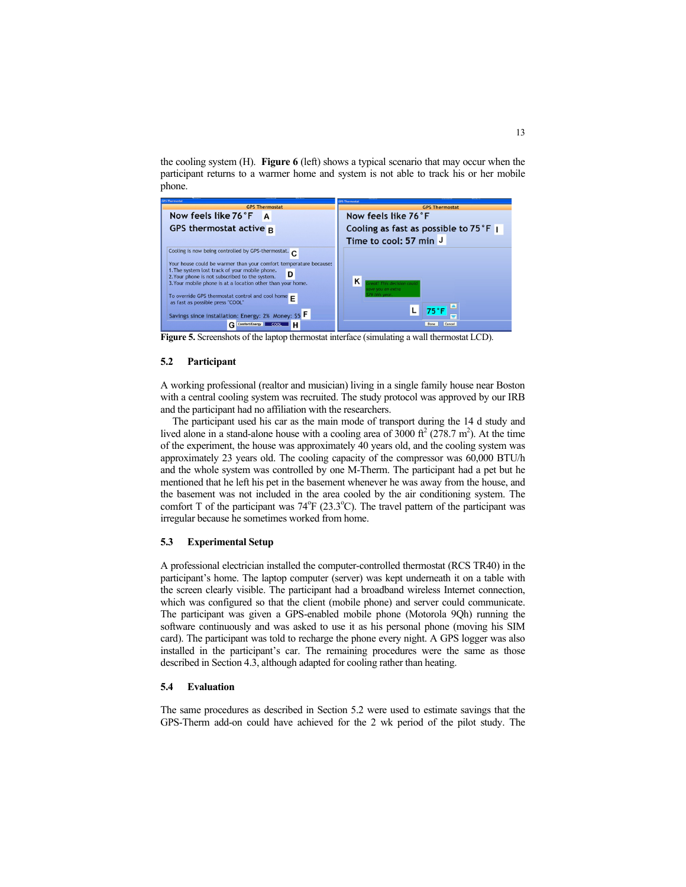the cooling system (H). **Figure 6** (left) shows a typical scenario that may occur when the participant returns to a warmer home and system is not able to track his or her mobile phone.



**Figure 5.** Screenshots of the laptop thermostat interface (simulating a wall thermostat LCD).

# **5.2 Participant**

A working professional (realtor and musician) living in a single family house near Boston with a central cooling system was recruited. The study protocol was approved by our IRB and the participant had no affiliation with the researchers.

The participant used his car as the main mode of transport during the 14 d study and lived alone in a stand-alone house with a cooling area of  $3000 \text{ ft}^2 (278.7 \text{ m}^2)$ . At the time of the experiment, the house was approximately 40 years old, and the cooling system was approximately 23 years old. The cooling capacity of the compressor was 60,000 BTU/h and the whole system was controlled by one M-Therm. The participant had a pet but he mentioned that he left his pet in the basement whenever he was away from the house, and the basement was not included in the area cooled by the air conditioning system. The comfort T of the participant was  $74^{\circ}F(23.3^{\circ}C)$ . The travel pattern of the participant was irregular because he sometimes worked from home.

### **5.3 Experimental Setup**

A professional electrician installed the computer-controlled thermostat (RCS TR40) in the participant's home. The laptop computer (server) was kept underneath it on a table with the screen clearly visible. The participant had a broadband wireless Internet connection, which was configured so that the client (mobile phone) and server could communicate. The participant was given a GPS-enabled mobile phone (Motorola 9Qh) running the software continuously and was asked to use it as his personal phone (moving his SIM card). The participant was told to recharge the phone every night. A GPS logger was also installed in the participant's car. The remaining procedures were the same as those described in Section 4.3, although adapted for cooling rather than heating.

#### **5.4 Evaluation**

The same procedures as described in Section 5.2 were used to estimate savings that the GPS-Therm add-on could have achieved for the 2 wk period of the pilot study. The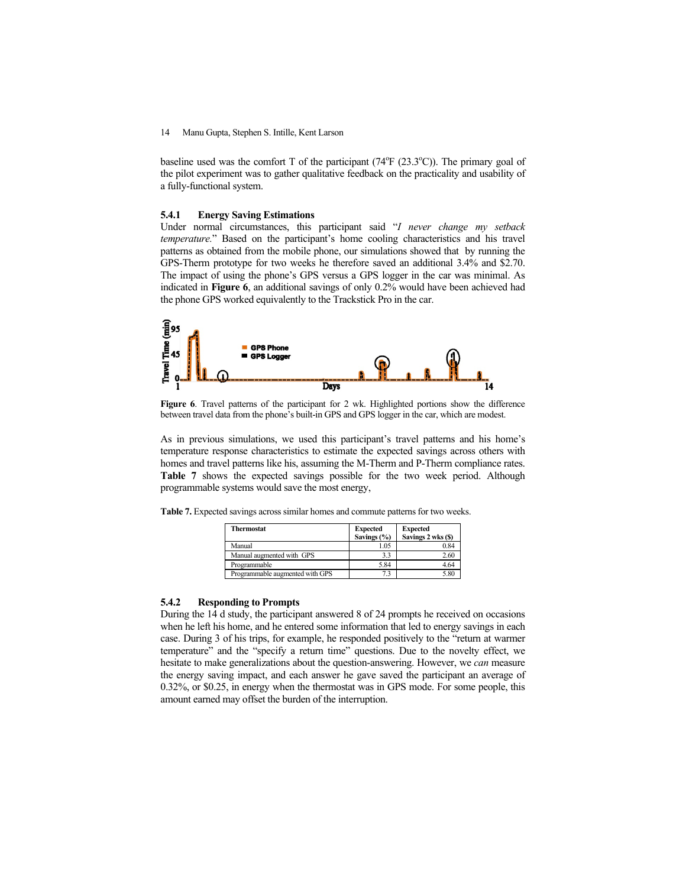baseline used was the comfort T of the participant  $(74^{\circ}F (23.3^{\circ}C))$ . The primary goal of the pilot experiment was to gather qualitative feedback on the practicality and usability of a fully-functional system.

#### **5.4.1 Energy Saving Estimations**

Under normal circumstances, this participant said "*I never change my setback temperature.*" Based on the participant's home cooling characteristics and his travel patterns as obtained from the mobile phone, our simulations showed that by running the GPS-Therm prototype for two weeks he therefore saved an additional 3.4% and \$2.70. The impact of using the phone's GPS versus a GPS logger in the car was minimal. As indicated in **Figure 6**, an additional savings of only 0.2% would have been achieved had the phone GPS worked equivalently to the Trackstick Pro in the car.



**Figure 6**. Travel patterns of the participant for 2 wk. Highlighted portions show the difference between travel data from the phone's built-in GPS and GPS logger in the car, which are modest.

As in previous simulations, we used this participant's travel patterns and his home's temperature response characteristics to estimate the expected savings across others with homes and travel patterns like his, assuming the M-Therm and P-Therm compliance rates. **Table 7** shows the expected savings possible for the two week period. Although programmable systems would save the most energy,

| <b>Thermostat</b>               | <b>Expected</b><br>Savings (%) | <b>Expected</b><br>Savings 2 wks (\$) |
|---------------------------------|--------------------------------|---------------------------------------|
| Manual                          | 1.05                           | 0.84                                  |
| Manual augmented with GPS       | 3.3                            | 2.60                                  |
| Programmable                    | 5.84                           | 4.64                                  |
| Programmable augmented with GPS |                                | 5.80                                  |

**Table 7.** Expected savings across similar homes and commute patterns for two weeks.

### **5.4.2 Responding to Prompts**

During the 14 d study, the participant answered 8 of 24 prompts he received on occasions when he left his home, and he entered some information that led to energy savings in each case. During 3 of his trips, for example, he responded positively to the "return at warmer temperature" and the "specify a return time" questions. Due to the novelty effect, we hesitate to make generalizations about the question-answering. However, we *can* measure the energy saving impact, and each answer he gave saved the participant an average of 0.32%, or \$0.25, in energy when the thermostat was in GPS mode. For some people, this amount earned may offset the burden of the interruption.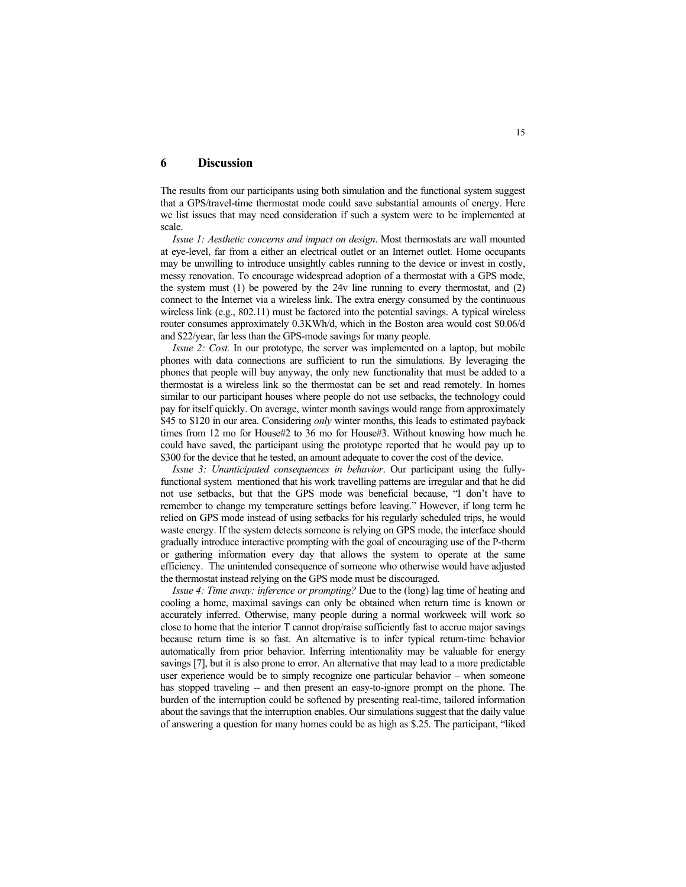### **6 Discussion**

The results from our participants using both simulation and the functional system suggest that a GPS/travel-time thermostat mode could save substantial amounts of energy. Here we list issues that may need consideration if such a system were to be implemented at scale.

*Issue 1: Aesthetic concerns and impact on design*. Most thermostats are wall mounted at eye-level, far from a either an electrical outlet or an Internet outlet. Home occupants may be unwilling to introduce unsightly cables running to the device or invest in costly, messy renovation. To encourage widespread adoption of a thermostat with a GPS mode, the system must (1) be powered by the 24v line running to every thermostat, and (2) connect to the Internet via a wireless link. The extra energy consumed by the continuous wireless link (e.g., 802.11) must be factored into the potential savings. A typical wireless router consumes approximately 0.3KWh/d, which in the Boston area would cost \$0.06/d and \$22/year, far less than the GPS-mode savings for many people.

*Issue 2: Cost.* In our prototype, the server was implemented on a laptop, but mobile phones with data connections are sufficient to run the simulations. By leveraging the phones that people will buy anyway, the only new functionality that must be added to a thermostat is a wireless link so the thermostat can be set and read remotely. In homes similar to our participant houses where people do not use setbacks, the technology could pay for itself quickly. On average, winter month savings would range from approximately \$45 to \$120 in our area. Considering *only* winter months, this leads to estimated payback times from 12 mo for House#2 to 36 mo for House#3. Without knowing how much he could have saved, the participant using the prototype reported that he would pay up to \$300 for the device that he tested, an amount adequate to cover the cost of the device.

*Issue 3: Unanticipated consequences in behavior*. Our participant using the fullyfunctional system mentioned that his work travelling patterns are irregular and that he did not use setbacks, but that the GPS mode was beneficial because, "I don't have to remember to change my temperature settings before leaving." However, if long term he relied on GPS mode instead of using setbacks for his regularly scheduled trips, he would waste energy. If the system detects someone is relying on GPS mode, the interface should gradually introduce interactive prompting with the goal of encouraging use of the P-therm or gathering information every day that allows the system to operate at the same efficiency. The unintended consequence of someone who otherwise would have adjusted the thermostat instead relying on the GPS mode must be discouraged.

*Issue 4: Time away: inference or prompting?* Due to the (long) lag time of heating and cooling a home, maximal savings can only be obtained when return time is known or accurately inferred. Otherwise, many people during a normal workweek will work so close to home that the interior T cannot drop/raise sufficiently fast to accrue major savings because return time is so fast. An alternative is to infer typical return-time behavior automatically from prior behavior. Inferring intentionality may be valuable for energy savings [7], but it is also prone to error. An alternative that may lead to a more predictable user experience would be to simply recognize one particular behavior – when someone has stopped traveling -- and then present an easy-to-ignore prompt on the phone. The burden of the interruption could be softened by presenting real-time, tailored information about the savings that the interruption enables. Our simulations suggest that the daily value of answering a question for many homes could be as high as \$.25. The participant, "liked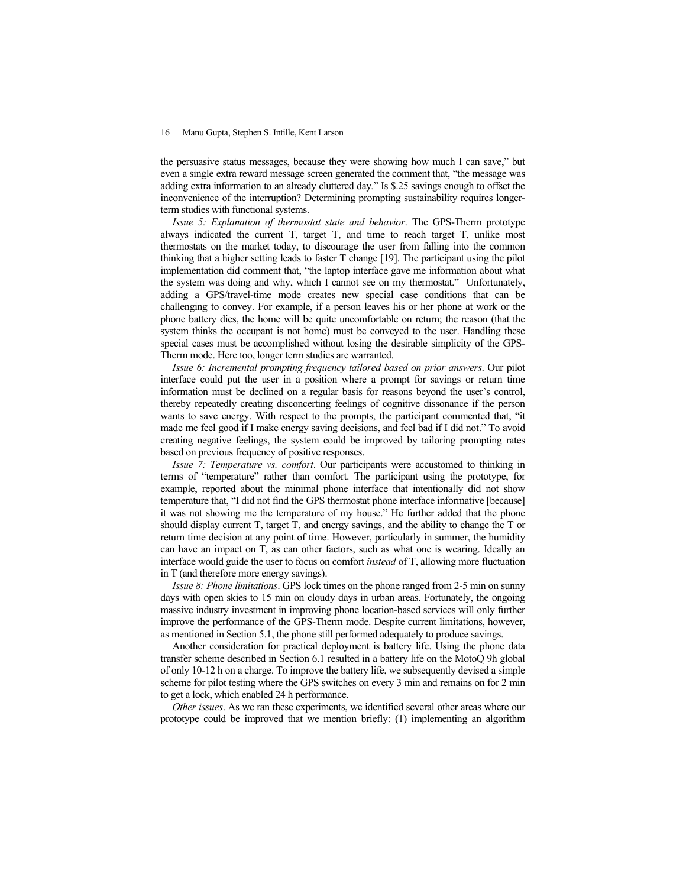the persuasive status messages, because they were showing how much I can save," but even a single extra reward message screen generated the comment that, "the message was adding extra information to an already cluttered day*.*" Is \$.25 savings enough to offset the inconvenience of the interruption? Determining prompting sustainability requires longerterm studies with functional systems.

*Issue 5: Explanation of thermostat state and behavior*. The GPS-Therm prototype always indicated the current T, target T, and time to reach target T, unlike most thermostats on the market today, to discourage the user from falling into the common thinking that a higher setting leads to faster T change [19]. The participant using the pilot implementation did comment that, "the laptop interface gave me information about what the system was doing and why, which I cannot see on my thermostat." Unfortunately, adding a GPS/travel-time mode creates new special case conditions that can be challenging to convey. For example, if a person leaves his or her phone at work or the phone battery dies, the home will be quite uncomfortable on return; the reason (that the system thinks the occupant is not home) must be conveyed to the user. Handling these special cases must be accomplished without losing the desirable simplicity of the GPS-Therm mode. Here too, longer term studies are warranted.

*Issue 6: Incremental prompting frequency tailored based on prior answers*. Our pilot interface could put the user in a position where a prompt for savings or return time information must be declined on a regular basis for reasons beyond the user's control, thereby repeatedly creating disconcerting feelings of cognitive dissonance if the person wants to save energy. With respect to the prompts, the participant commented that, "it made me feel good if I make energy saving decisions, and feel bad if I did not." To avoid creating negative feelings, the system could be improved by tailoring prompting rates based on previous frequency of positive responses.

*Issue 7: Temperature vs. comfort*. Our participants were accustomed to thinking in terms of "temperature" rather than comfort. The participant using the prototype, for example, reported about the minimal phone interface that intentionally did not show temperature that, "I did not find the GPS thermostat phone interface informative [because] it was not showing me the temperature of my house." He further added that the phone should display current T, target T, and energy savings, and the ability to change the T or return time decision at any point of time. However, particularly in summer, the humidity can have an impact on T, as can other factors, such as what one is wearing. Ideally an interface would guide the user to focus on comfort *instead* of T, allowing more fluctuation in T (and therefore more energy savings).

*Issue 8: Phone limitations*. GPS lock times on the phone ranged from 2-5 min on sunny days with open skies to 15 min on cloudy days in urban areas. Fortunately, the ongoing massive industry investment in improving phone location-based services will only further improve the performance of the GPS-Therm mode. Despite current limitations, however, as mentioned in Section 5.1, the phone still performed adequately to produce savings.

Another consideration for practical deployment is battery life. Using the phone data transfer scheme described in Section 6.1 resulted in a battery life on the MotoQ 9h global of only 10-12 h on a charge. To improve the battery life, we subsequently devised a simple scheme for pilot testing where the GPS switches on every 3 min and remains on for 2 min to get a lock, which enabled 24 h performance.

*Other issues*. As we ran these experiments, we identified several other areas where our prototype could be improved that we mention briefly: (1) implementing an algorithm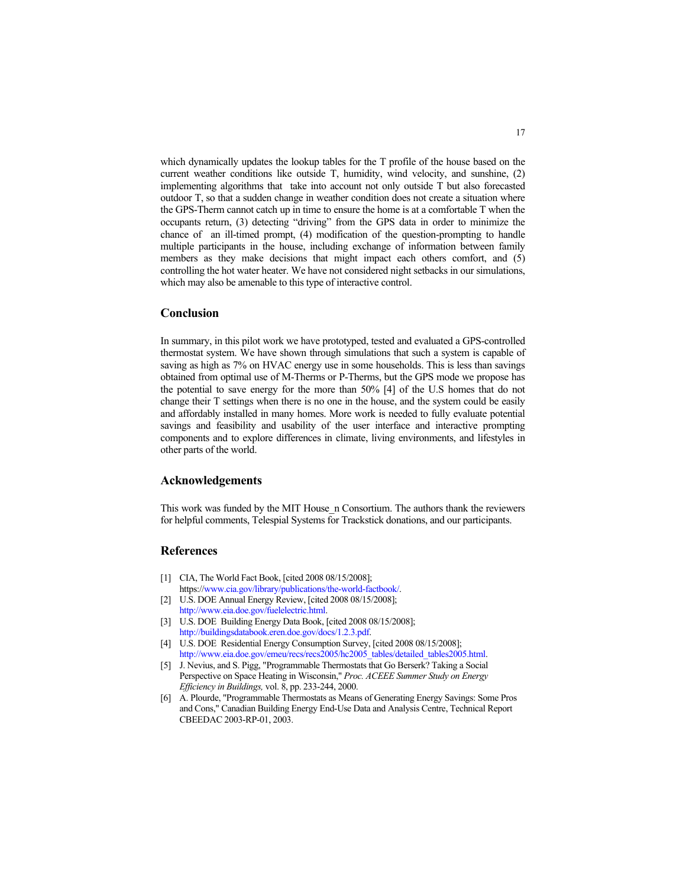which dynamically updates the lookup tables for the T profile of the house based on the current weather conditions like outside T, humidity, wind velocity, and sunshine, (2) implementing algorithms that take into account not only outside T but also forecasted outdoor T, so that a sudden change in weather condition does not create a situation where the GPS-Therm cannot catch up in time to ensure the home is at a comfortable T when the occupants return, (3) detecting "driving" from the GPS data in order to minimize the chance of an ill-timed prompt, (4) modification of the question-prompting to handle multiple participants in the house, including exchange of information between family members as they make decisions that might impact each others comfort, and (5) controlling the hot water heater. We have not considered night setbacks in our simulations, which may also be amenable to this type of interactive control.

### **Conclusion**

In summary, in this pilot work we have prototyped, tested and evaluated a GPS-controlled thermostat system. We have shown through simulations that such a system is capable of saving as high as 7% on HVAC energy use in some households. This is less than savings obtained from optimal use of M-Therms or P-Therms, but the GPS mode we propose has the potential to save energy for the more than 50% [4] of the U.S homes that do not change their T settings when there is no one in the house, and the system could be easily and affordably installed in many homes. More work is needed to fully evaluate potential savings and feasibility and usability of the user interface and interactive prompting components and to explore differences in climate, living environments, and lifestyles in other parts of the world.

### **Acknowledgements**

This work was funded by the MIT House\_n Consortium. The authors thank the reviewers for helpful comments, Telespial Systems for Trackstick donations, and our participants.

# **References**

- [1] CIA, The World Fact Book, [cited 2008 08/15/2008]; https://www.cia.gov/library/publications/the-world-factbook/.
- [2] U.S. DOE Annual Energy Review, [cited 2008 08/15/2008]; http://www.eia.doe.gov/fuelelectric.html.
- [3] U.S. DOE Building Energy Data Book, [cited 2008 08/15/2008]; http://buildingsdatabook.eren.doe.gov/docs/1.2.3.pdf.
- [4] U.S. DOE Residential Energy Consumption Survey, [cited 2008 08/15/2008]; http://www.eia.doe.gov/emeu/recs/recs2005/hc2005\_tables/detailed\_tables2005.html.
- [5] J. Nevius, and S. Pigg, "Programmable Thermostats that Go Berserk? Taking a Social Perspective on Space Heating in Wisconsin," *Proc. ACEEE Summer Study on Energy Efficiency in Buildings,* vol. 8, pp. 233-244, 2000.
- [6] A. Plourde, "Programmable Thermostats as Means of Generating Energy Savings: Some Pros and Cons," Canadian Building Energy End-Use Data and Analysis Centre, Technical Report CBEEDAC 2003-RP-01, 2003.